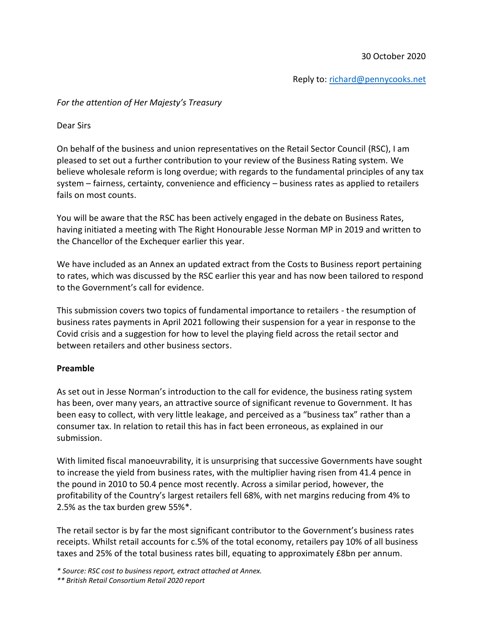Reply to: [richard@pennycooks.net](mailto:richard@pennycooks.net)

## *For the attention of Her Majesty's Treasury*

Dear Sirs

On behalf of the business and union representatives on the Retail Sector Council (RSC), I am pleased to set out a further contribution to your review of the Business Rating system. We believe wholesale reform is long overdue; with regards to the fundamental principles of any tax system – fairness, certainty, convenience and efficiency – business rates as applied to retailers fails on most counts.

You will be aware that the RSC has been actively engaged in the debate on Business Rates, having initiated a meeting with The Right Honourable Jesse Norman MP in 2019 and written to the Chancellor of the Exchequer earlier this year.

We have included as an Annex an updated extract from the Costs to Business report pertaining to rates, which was discussed by the RSC earlier this year and has now been tailored to respond to the Government's call for evidence.

This submission covers two topics of fundamental importance to retailers - the resumption of business rates payments in April 2021 following their suspension for a year in response to the Covid crisis and a suggestion for how to level the playing field across the retail sector and between retailers and other business sectors.

## **Preamble**

As set out in Jesse Norman's introduction to the call for evidence, the business rating system has been, over many years, an attractive source of significant revenue to Government. It has been easy to collect, with very little leakage, and perceived as a "business tax" rather than a consumer tax. In relation to retail this has in fact been erroneous, as explained in our submission.

With limited fiscal manoeuvrability, it is unsurprising that successive Governments have sought to increase the yield from business rates, with the multiplier having risen from 41.4 pence in the pound in 2010 to 50.4 pence most recently. Across a similar period, however, the profitability of the Country's largest retailers fell 68%, with net margins reducing from 4% to 2.5% as the tax burden grew 55%\*.

The retail sector is by far the most significant contributor to the Government's business rates receipts. Whilst retail accounts for c.5% of the total economy, retailers pay 10% of all business taxes and 25% of the total business rates bill, equating to approximately £8bn per annum.

*\*\* British Retail Consortium Retail 2020 report*

*<sup>\*</sup> Source: RSC cost to business report, extract attached at Annex.*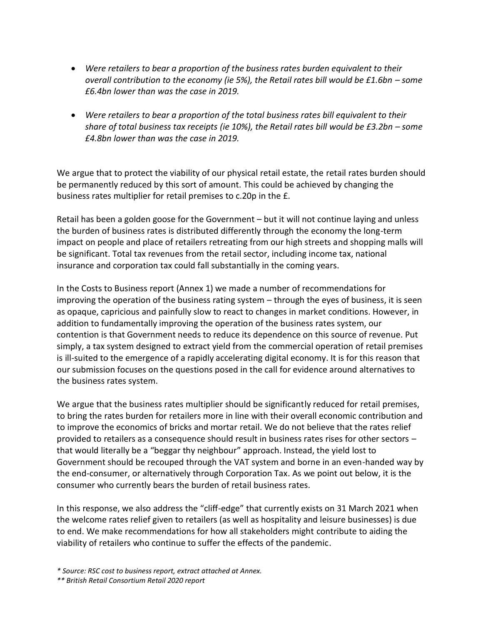- *Were retailers to bear a proportion of the business rates burden equivalent to their overall contribution to the economy (ie 5%), the Retail rates bill would be £1.6bn - some £6.4bn lower than was the case in 2019.*
- *Were retailers to bear a proportion of the total business rates bill equivalent to their share of total business tax receipts (ie 10%), the Retail rates bill would be £3.2bn – some £4.8bn lower than was the case in 2019.*

We argue that to protect the viability of our physical retail estate, the retail rates burden should be permanently reduced by this sort of amount. This could be achieved by changing the business rates multiplier for retail premises to c.20p in the £.

Retail has been a golden goose for the Government – but it will not continue laying and unless the burden of business rates is distributed differently through the economy the long-term impact on people and place of retailers retreating from our high streets and shopping malls will be significant. Total tax revenues from the retail sector, including income tax, national insurance and corporation tax could fall substantially in the coming years.

In the Costs to Business report (Annex 1) we made a number of recommendations for improving the operation of the business rating system – through the eyes of business, it is seen as opaque, capricious and painfully slow to react to changes in market conditions. However, in addition to fundamentally improving the operation of the business rates system, our contention is that Government needs to reduce its dependence on this source of revenue. Put simply, a tax system designed to extract yield from the commercial operation of retail premises is ill-suited to the emergence of a rapidly accelerating digital economy. It is for this reason that our submission focuses on the questions posed in the call for evidence around alternatives to the business rates system.

We argue that the business rates multiplier should be significantly reduced for retail premises, to bring the rates burden for retailers more in line with their overall economic contribution and to improve the economics of bricks and mortar retail. We do not believe that the rates relief provided to retailers as a consequence should result in business rates rises for other sectors – that would literally be a "beggar thy neighbour" approach. Instead, the yield lost to Government should be recouped through the VAT system and borne in an even-handed way by the end-consumer, or alternatively through Corporation Tax. As we point out below, it is the consumer who currently bears the burden of retail business rates.

In this response, we also address the "cliff-edge" that currently exists on 31 March 2021 when the welcome rates relief given to retailers (as well as hospitality and leisure businesses) is due to end. We make recommendations for how all stakeholders might contribute to aiding the viability of retailers who continue to suffer the effects of the pandemic.

*<sup>\*</sup> Source: RSC cost to business report, extract attached at Annex.*

*<sup>\*\*</sup> British Retail Consortium Retail 2020 report*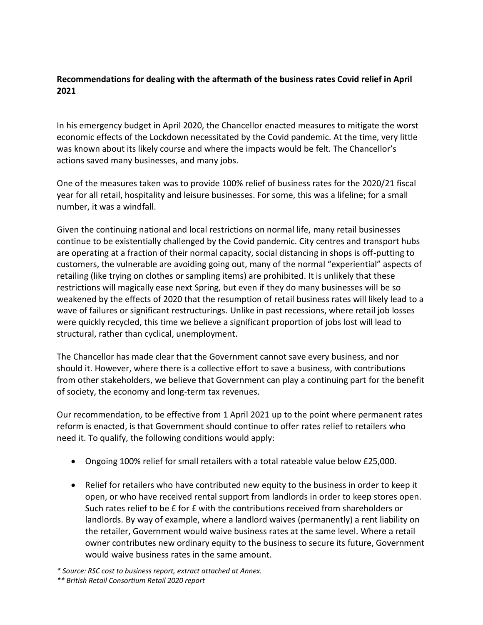## **Recommendations for dealing with the aftermath of the business rates Covid relief in April 2021**

In his emergency budget in April 2020, the Chancellor enacted measures to mitigate the worst economic effects of the Lockdown necessitated by the Covid pandemic. At the time, very little was known about its likely course and where the impacts would be felt. The Chancellor's actions saved many businesses, and many jobs.

One of the measures taken was to provide 100% relief of business rates for the 2020/21 fiscal year for all retail, hospitality and leisure businesses. For some, this was a lifeline; for a small number, it was a windfall.

Given the continuing national and local restrictions on normal life, many retail businesses continue to be existentially challenged by the Covid pandemic. City centres and transport hubs are operating at a fraction of their normal capacity, social distancing in shops is off-putting to customers, the vulnerable are avoiding going out, many of the normal "experiential" aspects of retailing (like trying on clothes or sampling items) are prohibited. It is unlikely that these restrictions will magically ease next Spring, but even if they do many businesses will be so weakened by the effects of 2020 that the resumption of retail business rates will likely lead to a wave of failures or significant restructurings. Unlike in past recessions, where retail job losses were quickly recycled, this time we believe a significant proportion of jobs lost will lead to structural, rather than cyclical, unemployment.

The Chancellor has made clear that the Government cannot save every business, and nor should it. However, where there is a collective effort to save a business, with contributions from other stakeholders, we believe that Government can play a continuing part for the benefit of society, the economy and long-term tax revenues.

Our recommendation, to be effective from 1 April 2021 up to the point where permanent rates reform is enacted, is that Government should continue to offer rates relief to retailers who need it. To qualify, the following conditions would apply:

- Ongoing 100% relief for small retailers with a total rateable value below £25,000.
- Relief for retailers who have contributed new equity to the business in order to keep it open, or who have received rental support from landlords in order to keep stores open. Such rates relief to be £ for £ with the contributions received from shareholders or landlords. By way of example, where a landlord waives (permanently) a rent liability on the retailer, Government would waive business rates at the same level. Where a retail owner contributes new ordinary equity to the business to secure its future, Government would waive business rates in the same amount.

*<sup>\*</sup> Source: RSC cost to business report, extract attached at Annex.*

*<sup>\*\*</sup> British Retail Consortium Retail 2020 report*